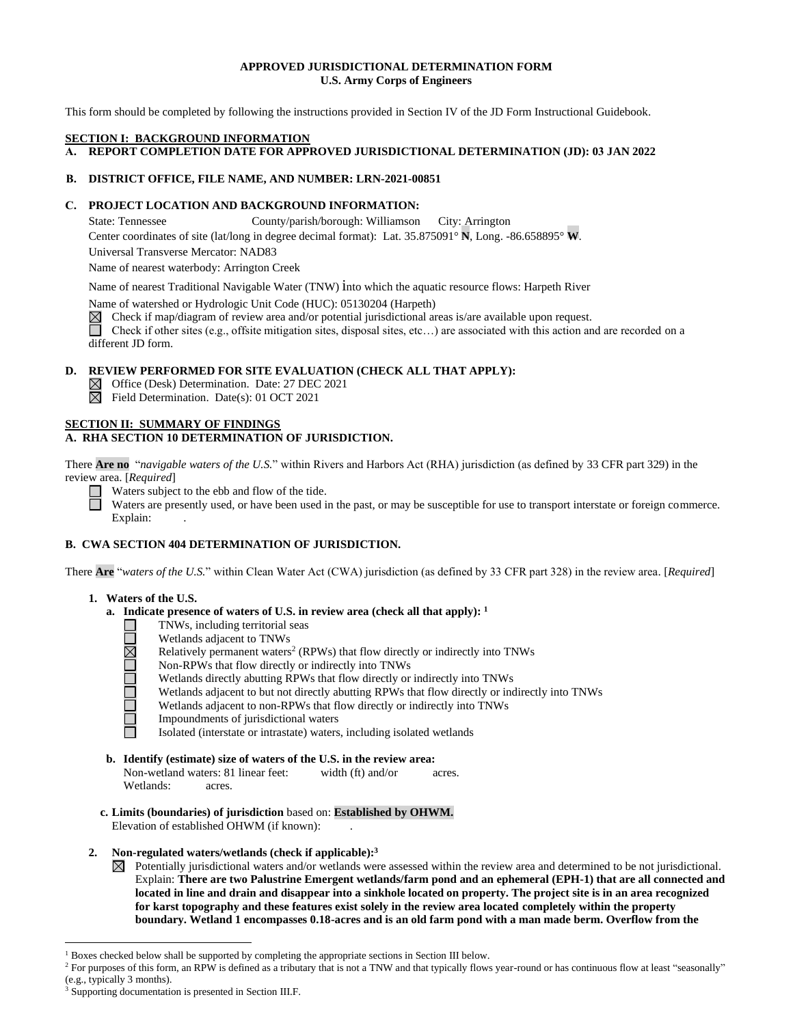### **APPROVED JURISDICTIONAL DETERMINATION FORM U.S. Army Corps of Engineers**

This form should be completed by following the instructions provided in Section IV of the JD Form Instructional Guidebook.

#### **SECTION I: BACKGROUND INFORMATION**

**A. REPORT COMPLETION DATE FOR APPROVED JURISDICTIONAL DETERMINATION (JD): 03 JAN 2022**

## **B. DISTRICT OFFICE, FILE NAME, AND NUMBER: LRN-2021-00851**

# **C. PROJECT LOCATION AND BACKGROUND INFORMATION:**

State: Tennessee County/parish/borough: Williamson City: Arrington

Center coordinates of site (lat/long in degree decimal format): Lat. 35.875091° **N**, Long. -86.658895° **W**.

Universal Transverse Mercator: NAD83

Name of nearest waterbody: Arrington Creek

Name of nearest Traditional Navigable Water (TNW) into which the aquatic resource flows: Harpeth River

Name of watershed or Hydrologic Unit Code (HUC): 05130204 (Harpeth)

 $\boxtimes$  Check if map/diagram of review area and/or potential jurisdictional areas is/are available upon request.

Check if other sites (e.g., offsite mitigation sites, disposal sites, etc…) are associated with this action and are recorded on a different JD form.

# **D. REVIEW PERFORMED FOR SITE EVALUATION (CHECK ALL THAT APPLY):**

 $\boxtimes$  Office (Desk) Determination. Date: 27 DEC 2021

 $\boxtimes$  Field Determination. Date(s): 01 OCT 2021

#### **SECTION II: SUMMARY OF FINDINGS A. RHA SECTION 10 DETERMINATION OF JURISDICTION.**

There **Are no** "*navigable waters of the U.S.*" within Rivers and Harbors Act (RHA) jurisdiction (as defined by 33 CFR part 329) in the review area. [*Required*]

Waters subject to the ebb and flow of the tide.

Waters are presently used, or have been used in the past, or may be susceptible for use to transport interstate or foreign commerce. Explain:

## **B. CWA SECTION 404 DETERMINATION OF JURISDICTION.**

There **Are** "*waters of the U.S.*" within Clean Water Act (CWA) jurisdiction (as defined by 33 CFR part 328) in the review area. [*Required*]

### **1. Waters of the U.S.**

 $\Box$ 

**ORIODO DE** 

- **a. Indicate presence of waters of U.S. in review area (check all that apply): 1**
	- TNWs, including territorial seas
	- Wetlands adjacent to TNWs
	- Relatively permanent waters<sup>2</sup> (RPWs) that flow directly or indirectly into TNWs
	- Non-RPWs that flow directly or indirectly into TNWs
	- Wetlands directly abutting RPWs that flow directly or indirectly into TNWs
	- Wetlands adjacent to but not directly abutting RPWs that flow directly or indirectly into TNWs
	- Wetlands adjacent to non-RPWs that flow directly or indirectly into TNWs
	- Impoundments of jurisdictional waters
	- Isolated (interstate or intrastate) waters, including isolated wetlands
- **b. Identify (estimate) size of waters of the U.S. in the review area:** Non-wetland waters: 81 linear feet: width (ft) and/or acres. Wetlands: acres.
- **c. Limits (boundaries) of jurisdiction** based on: **Established by OHWM.** Elevation of established OHWM (if known):
- **2. Non-regulated waters/wetlands (check if applicable): 3**
	- $\boxtimes$  Potentially jurisdictional waters and/or wetlands were assessed within the review area and determined to be not jurisdictional. Explain: **There are two Palustrine Emergent wetlands/farm pond and an ephemeral (EPH-1) that are all connected and located in line and drain and disappear into a sinkhole located on property. The project site is in an area recognized for karst topography and these features exist solely in the review area located completely within the property boundary. Wetland 1 encompasses 0.18-acres and is an old farm pond with a man made berm. Overflow from the**

<sup>1</sup> Boxes checked below shall be supported by completing the appropriate sections in Section III below.

<sup>&</sup>lt;sup>2</sup> For purposes of this form, an RPW is defined as a tributary that is not a TNW and that typically flows year-round or has continuous flow at least "seasonally" (e.g., typically 3 months).

<sup>3</sup> Supporting documentation is presented in Section III.F.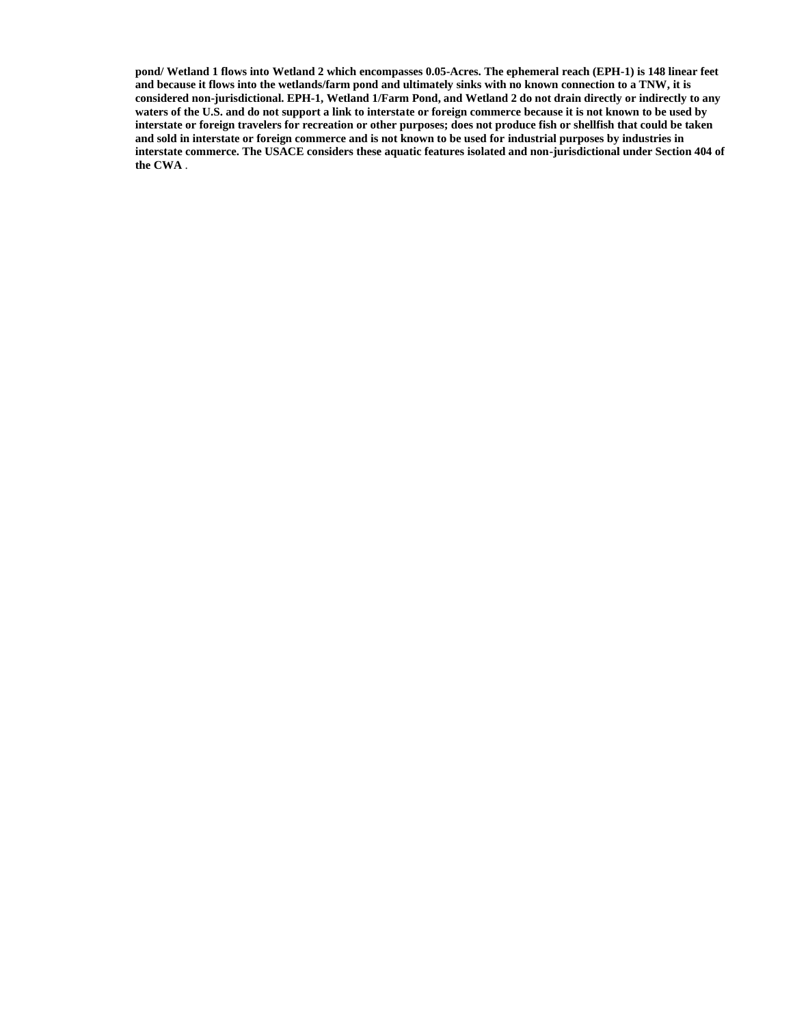**pond/ Wetland 1 flows into Wetland 2 which encompasses 0.05-Acres. The ephemeral reach (EPH-1) is 148 linear feet and because it flows into the wetlands/farm pond and ultimately sinks with no known connection to a TNW, it is considered non-jurisdictional. EPH-1, Wetland 1/Farm Pond, and Wetland 2 do not drain directly or indirectly to any waters of the U.S. and do not support a link to interstate or foreign commerce because it is not known to be used by interstate or foreign travelers for recreation or other purposes; does not produce fish or shellfish that could be taken and sold in interstate or foreign commerce and is not known to be used for industrial purposes by industries in interstate commerce. The USACE considers these aquatic features isolated and non-jurisdictional under Section 404 of the CWA** .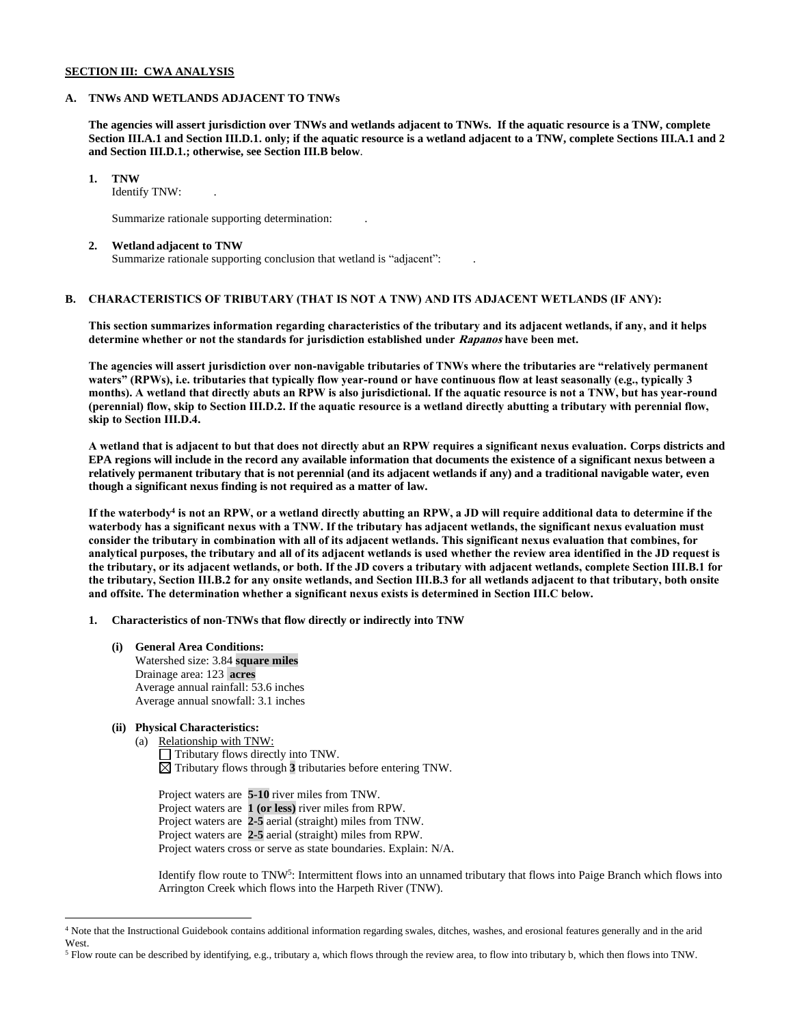### **SECTION III: CWA ANALYSIS**

#### **A. TNWs AND WETLANDS ADJACENT TO TNWs**

**The agencies will assert jurisdiction over TNWs and wetlands adjacent to TNWs. If the aquatic resource is a TNW, complete Section III.A.1 and Section III.D.1. only; if the aquatic resource is a wetland adjacent to a TNW, complete Sections III.A.1 and 2 and Section III.D.1.; otherwise, see Section III.B below**.

**1. TNW** 

Identify TNW: .

Summarize rationale supporting determination: .

#### **2. Wetland adjacent to TNW**

Summarize rationale supporting conclusion that wetland is "adjacent": .

# **B. CHARACTERISTICS OF TRIBUTARY (THAT IS NOT A TNW) AND ITS ADJACENT WETLANDS (IF ANY):**

**This section summarizes information regarding characteristics of the tributary and its adjacent wetlands, if any, and it helps determine whether or not the standards for jurisdiction established under Rapanos have been met.** 

**The agencies will assert jurisdiction over non-navigable tributaries of TNWs where the tributaries are "relatively permanent waters" (RPWs), i.e. tributaries that typically flow year-round or have continuous flow at least seasonally (e.g., typically 3 months). A wetland that directly abuts an RPW is also jurisdictional. If the aquatic resource is not a TNW, but has year-round (perennial) flow, skip to Section III.D.2. If the aquatic resource is a wetland directly abutting a tributary with perennial flow, skip to Section III.D.4.**

**A wetland that is adjacent to but that does not directly abut an RPW requires a significant nexus evaluation. Corps districts and EPA regions will include in the record any available information that documents the existence of a significant nexus between a relatively permanent tributary that is not perennial (and its adjacent wetlands if any) and a traditional navigable water, even though a significant nexus finding is not required as a matter of law.**

**If the waterbody<sup>4</sup> is not an RPW, or a wetland directly abutting an RPW, a JD will require additional data to determine if the waterbody has a significant nexus with a TNW. If the tributary has adjacent wetlands, the significant nexus evaluation must consider the tributary in combination with all of its adjacent wetlands. This significant nexus evaluation that combines, for analytical purposes, the tributary and all of its adjacent wetlands is used whether the review area identified in the JD request is the tributary, or its adjacent wetlands, or both. If the JD covers a tributary with adjacent wetlands, complete Section III.B.1 for the tributary, Section III.B.2 for any onsite wetlands, and Section III.B.3 for all wetlands adjacent to that tributary, both onsite and offsite. The determination whether a significant nexus exists is determined in Section III.C below.**

**1. Characteristics of non-TNWs that flow directly or indirectly into TNW**

**(i) General Area Conditions:** Watershed size: 3.84 **square miles** Drainage area: 123 **acres** Average annual rainfall: 53.6 inches Average annual snowfall: 3.1 inches

### **(ii) Physical Characteristics:**

(a) Relationship with TNW: Tributary flows directly into TNW.  $\boxtimes$  Tributary flows through  $3$  tributaries before entering TNW.

Project waters are **5-10** river miles from TNW. Project waters are **1 (or less)** river miles from RPW. Project waters are **2-5** aerial (straight) miles from TNW. Project waters are **2-5** aerial (straight) miles from RPW. Project waters cross or serve as state boundaries. Explain: N/A.

Identify flow route to TNW<sup>5</sup>: Intermittent flows into an unnamed tributary that flows into Paige Branch which flows into Arrington Creek which flows into the Harpeth River (TNW).

<sup>4</sup> Note that the Instructional Guidebook contains additional information regarding swales, ditches, washes, and erosional features generally and in the arid West.

<sup>5</sup> Flow route can be described by identifying, e.g., tributary a, which flows through the review area, to flow into tributary b, which then flows into TNW.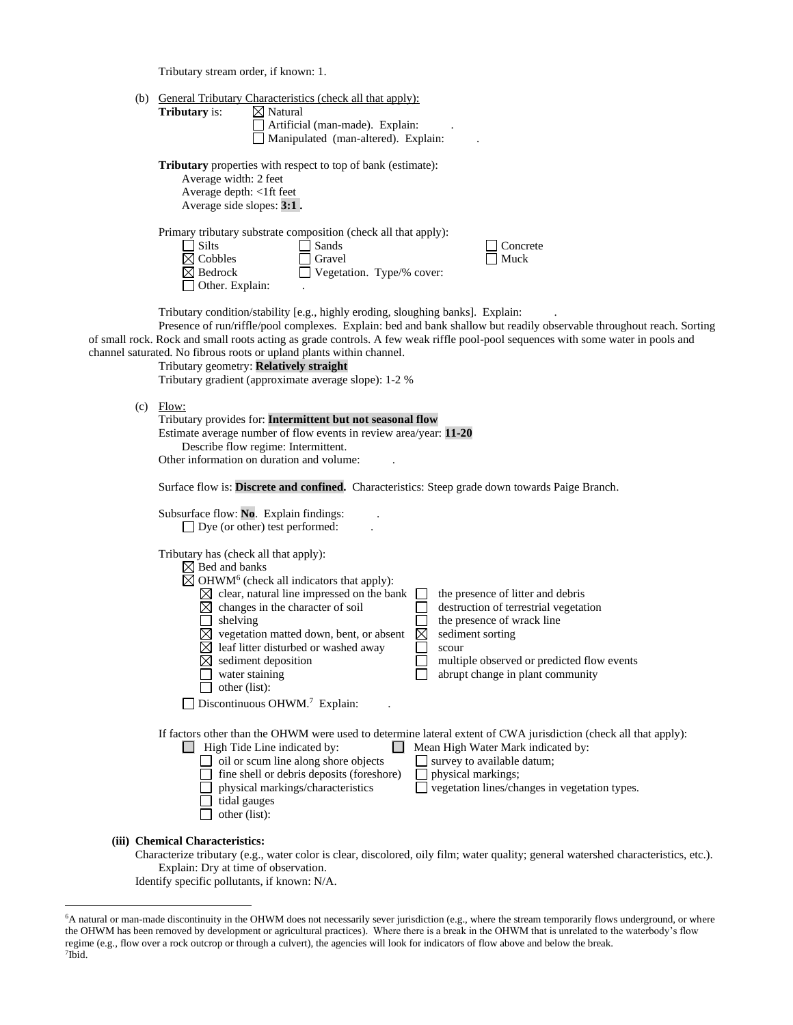Tributary stream order, if known: 1.

| (b) General Tributary Characteristics (check all that apply):<br><b>Tributary</b> is:<br>$\boxtimes$ Natural<br>Artificial (man-made). Explain:<br>Manipulated (man-altered). Explain:                                                                                                                                                                                                                                                                                                                                                                                                                                                                                                                      |
|-------------------------------------------------------------------------------------------------------------------------------------------------------------------------------------------------------------------------------------------------------------------------------------------------------------------------------------------------------------------------------------------------------------------------------------------------------------------------------------------------------------------------------------------------------------------------------------------------------------------------------------------------------------------------------------------------------------|
| <b>Tributary</b> properties with respect to top of bank (estimate):<br>Average width: 2 feet<br>Average depth: <1ft feet<br>Average side slopes: 3:1.                                                                                                                                                                                                                                                                                                                                                                                                                                                                                                                                                       |
| Primary tributary substrate composition (check all that apply):<br>$\Box$ Silts<br>Sands<br>Concrete<br>$\boxtimes$ Cobbles<br>Gravel<br>Muck<br>Vegetation. Type/% cover:<br>$\boxtimes$ Bedrock<br>Other. Explain:                                                                                                                                                                                                                                                                                                                                                                                                                                                                                        |
| Tributary condition/stability [e.g., highly eroding, sloughing banks]. Explain:<br>Presence of run/riffle/pool complexes. Explain: bed and bank shallow but readily observable throughout reach. Sorting<br>of small rock. Rock and small roots acting as grade controls. A few weak riffle pool-pool sequences with some water in pools and<br>channel saturated. No fibrous roots or upland plants within channel.<br>Tributary geometry: Relatively straight<br>Tributary gradient (approximate average slope): 1-2 %                                                                                                                                                                                    |
| $(c)$ Flow:<br>Tributary provides for: Intermittent but not seasonal flow<br>Estimate average number of flow events in review area/year: 11-20<br>Describe flow regime: Intermittent.<br>Other information on duration and volume:                                                                                                                                                                                                                                                                                                                                                                                                                                                                          |
| Surface flow is: Discrete and confined. Characteristics: Steep grade down towards Paige Branch.                                                                                                                                                                                                                                                                                                                                                                                                                                                                                                                                                                                                             |
| Subsurface flow: No. Explain findings:<br>$\Box$ Dye (or other) test performed:                                                                                                                                                                                                                                                                                                                                                                                                                                                                                                                                                                                                                             |
| Tributary has (check all that apply):<br>$\boxtimes$ Bed and banks<br>$\boxtimes$ OHWM <sup>6</sup> (check all indicators that apply):<br>$\boxtimes$ clear, natural line impressed on the bank<br>the presence of litter and debris<br>$\boxtimes$ changes in the character of soil<br>destruction of terrestrial vegetation<br>shelving<br>the presence of wrack line<br>$\boxtimes$ vegetation matted down, bent, or absent<br>$\boxtimes$<br>sediment sorting<br>leaf litter disturbed or washed away<br>scour<br>sediment deposition<br>multiple observed or predicted flow events<br>water staining<br>abrupt change in plant community<br>other (list):<br>Discontinuous OHWM. <sup>7</sup> Explain: |
| If factors other than the OHWM were used to determine lateral extent of CWA jurisdiction (check all that apply):<br>$\Box$ High Tide Line indicated by:<br>Mean High Water Mark indicated by:<br>$\Box$<br>oil or scum line along shore objects<br>survey to available datum;<br>fine shell or debris deposits (foreshore)<br>physical markings;<br>physical markings/characteristics<br>vegetation lines/changes in vegetation types.<br>tidal gauges<br>other (list):                                                                                                                                                                                                                                     |
| (iii) Chemical Characteristics:<br>Characterize tributary (e.g., water color is clear, discolored, oily film; water quality; general watershed characteristics, etc.).<br>Explain: Dry at time of observation.                                                                                                                                                                                                                                                                                                                                                                                                                                                                                              |

Identify specific pollutants, if known: N/A.

<sup>6</sup>A natural or man-made discontinuity in the OHWM does not necessarily sever jurisdiction (e.g., where the stream temporarily flows underground, or where the OHWM has been removed by development or agricultural practices). Where there is a break in the OHWM that is unrelated to the waterbody's flow regime (e.g., flow over a rock outcrop or through a culvert), the agencies will look for indicators of flow above and below the break. 7 Ibid.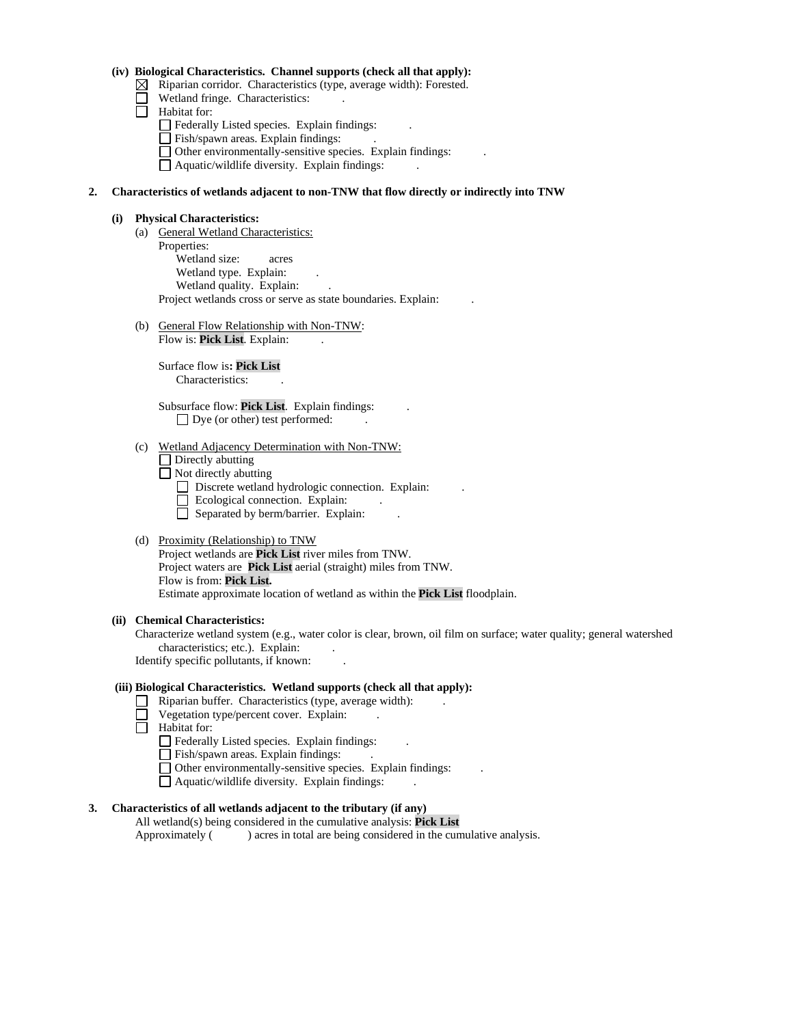### **(iv) Biological Characteristics. Channel supports (check all that apply):**

- $\boxtimes$  Riparian corridor. Characteristics (type, average width): Forested.
- Wetland fringe. Characteristics:
- $\Box$  Habitat for:
	- Federally Listed species. Explain findings:
	- Fish/spawn areas. Explain findings:
	- $\Box$  Other environmentally-sensitive species. Explain findings:

 $\Box$  Aquatic/wildlife diversity. Explain findings:

### **2. Characteristics of wetlands adjacent to non-TNW that flow directly or indirectly into TNW**

#### **(i) Physical Characteristics:**

- (a) General Wetland Characteristics: Properties: Wetland size: acres Wetland type. Explain: Wetland quality. Explain: Project wetlands cross or serve as state boundaries. Explain: .
- (b) General Flow Relationship with Non-TNW: Flow is: Pick List. Explain:

Surface flow is**: Pick List**  Characteristics: .

Subsurface flow: **Pick List**. Explain findings: .  $\Box$  Dye (or other) test performed:

#### (c) Wetland Adjacency Determination with Non-TNW:

 $\Box$  Directly abutting

Not directly abutting

- Discrete wetland hydrologic connection. Explain:
- Ecological connection. Explain:
- $\Box$  Separated by berm/barrier. Explain:

### (d) Proximity (Relationship) to TNW

Project wetlands are **Pick List** river miles from TNW. Project waters are **Pick List** aerial (straight) miles from TNW. Flow is from: **Pick List.** Estimate approximate location of wetland as within the **Pick List** floodplain.

#### **(ii) Chemical Characteristics:**

Characterize wetland system (e.g., water color is clear, brown, oil film on surface; water quality; general watershed characteristics; etc.). Explain:

Identify specific pollutants, if known: .

### **(iii) Biological Characteristics. Wetland supports (check all that apply):**

- $\Box$  Riparian buffer. Characteristics (type, average width):
	- Vegetation type/percent cover. Explain: .
- Habitat for:
	- Federally Listed species. Explain findings:
	- Fish/spawn areas. Explain findings:
	- Other environmentally-sensitive species. Explain findings: .
	- $\Box$  Aquatic/wildlife diversity. Explain findings:

### **3. Characteristics of all wetlands adjacent to the tributary (if any)**

All wetland(s) being considered in the cumulative analysis: **Pick List** Approximately ( ) acres in total are being considered in the cumulative analysis.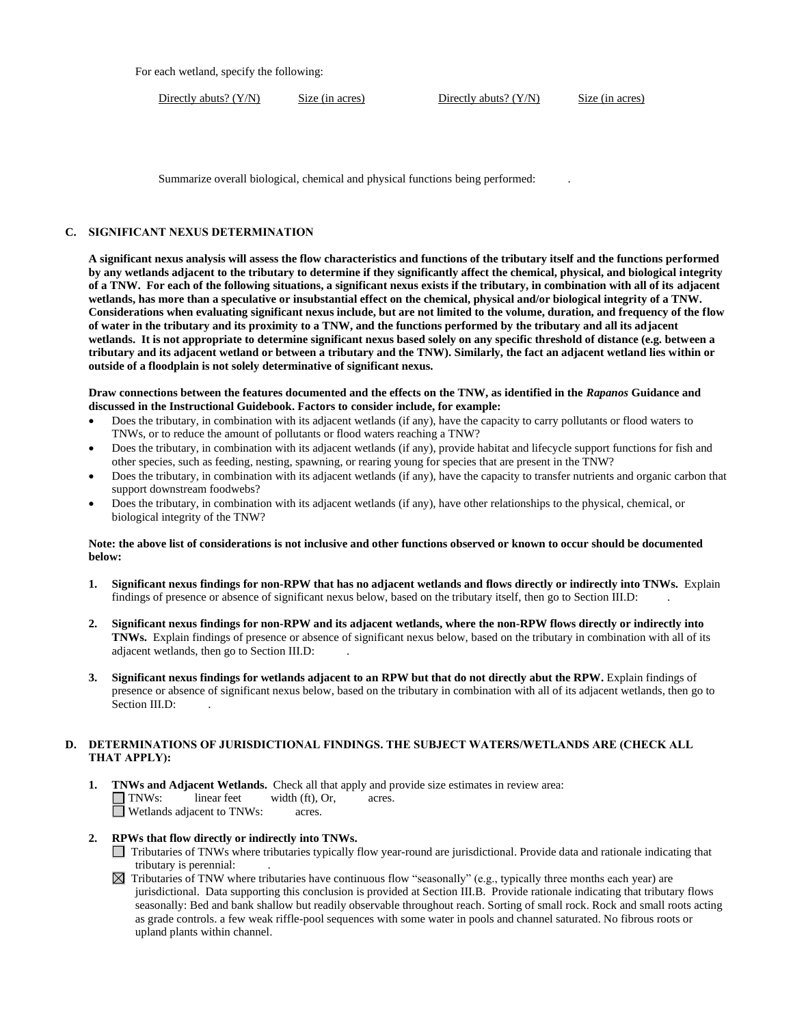For each wetland, specify the following:

Directly abuts? (Y/N) Size (in acres) Directly abuts? (Y/N) Size (in acres)

Summarize overall biological, chemical and physical functions being performed: .

#### **C. SIGNIFICANT NEXUS DETERMINATION**

**A significant nexus analysis will assess the flow characteristics and functions of the tributary itself and the functions performed by any wetlands adjacent to the tributary to determine if they significantly affect the chemical, physical, and biological integrity of a TNW. For each of the following situations, a significant nexus exists if the tributary, in combination with all of its adjacent wetlands, has more than a speculative or insubstantial effect on the chemical, physical and/or biological integrity of a TNW. Considerations when evaluating significant nexus include, but are not limited to the volume, duration, and frequency of the flow of water in the tributary and its proximity to a TNW, and the functions performed by the tributary and all its adjacent wetlands. It is not appropriate to determine significant nexus based solely on any specific threshold of distance (e.g. between a tributary and its adjacent wetland or between a tributary and the TNW). Similarly, the fact an adjacent wetland lies within or outside of a floodplain is not solely determinative of significant nexus.** 

**Draw connections between the features documented and the effects on the TNW, as identified in the** *Rapanos* **Guidance and discussed in the Instructional Guidebook. Factors to consider include, for example:**

- Does the tributary, in combination with its adjacent wetlands (if any), have the capacity to carry pollutants or flood waters to TNWs, or to reduce the amount of pollutants or flood waters reaching a TNW?
- Does the tributary, in combination with its adjacent wetlands (if any), provide habitat and lifecycle support functions for fish and other species, such as feeding, nesting, spawning, or rearing young for species that are present in the TNW?
- Does the tributary, in combination with its adjacent wetlands (if any), have the capacity to transfer nutrients and organic carbon that support downstream foodwebs?
- Does the tributary, in combination with its adjacent wetlands (if any), have other relationships to the physical, chemical, or biological integrity of the TNW?

#### **Note: the above list of considerations is not inclusive and other functions observed or known to occur should be documented below:**

- **1. Significant nexus findings for non-RPW that has no adjacent wetlands and flows directly or indirectly into TNWs.** Explain findings of presence or absence of significant nexus below, based on the tributary itself, then go to Section III.D: .
- **2. Significant nexus findings for non-RPW and its adjacent wetlands, where the non-RPW flows directly or indirectly into TNWs.** Explain findings of presence or absence of significant nexus below, based on the tributary in combination with all of its adjacent wetlands, then go to Section III.D: .
- **3. Significant nexus findings for wetlands adjacent to an RPW but that do not directly abut the RPW.** Explain findings of presence or absence of significant nexus below, based on the tributary in combination with all of its adjacent wetlands, then go to Section III.D:

### **D. DETERMINATIONS OF JURISDICTIONAL FINDINGS. THE SUBJECT WATERS/WETLANDS ARE (CHECK ALL THAT APPLY):**

**1. TNWs and Adjacent Wetlands.** Check all that apply and provide size estimates in review area:<br>
TNWs: linear feet width (ft), Or, acres.  $linear feet \t width (ft), Or, \t acres.$ Wetlands adjacent to TNWs: acres.

# **2. RPWs that flow directly or indirectly into TNWs.**

- Tributaries of TNWs where tributaries typically flow year-round are jurisdictional. Provide data and rationale indicating that tributary is perennial: .
- $\boxtimes$  Tributaries of TNW where tributaries have continuous flow "seasonally" (e.g., typically three months each year) are jurisdictional. Data supporting this conclusion is provided at Section III.B. Provide rationale indicating that tributary flows seasonally: Bed and bank shallow but readily observable throughout reach. Sorting of small rock. Rock and small roots acting as grade controls. a few weak riffle-pool sequences with some water in pools and channel saturated. No fibrous roots or upland plants within channel.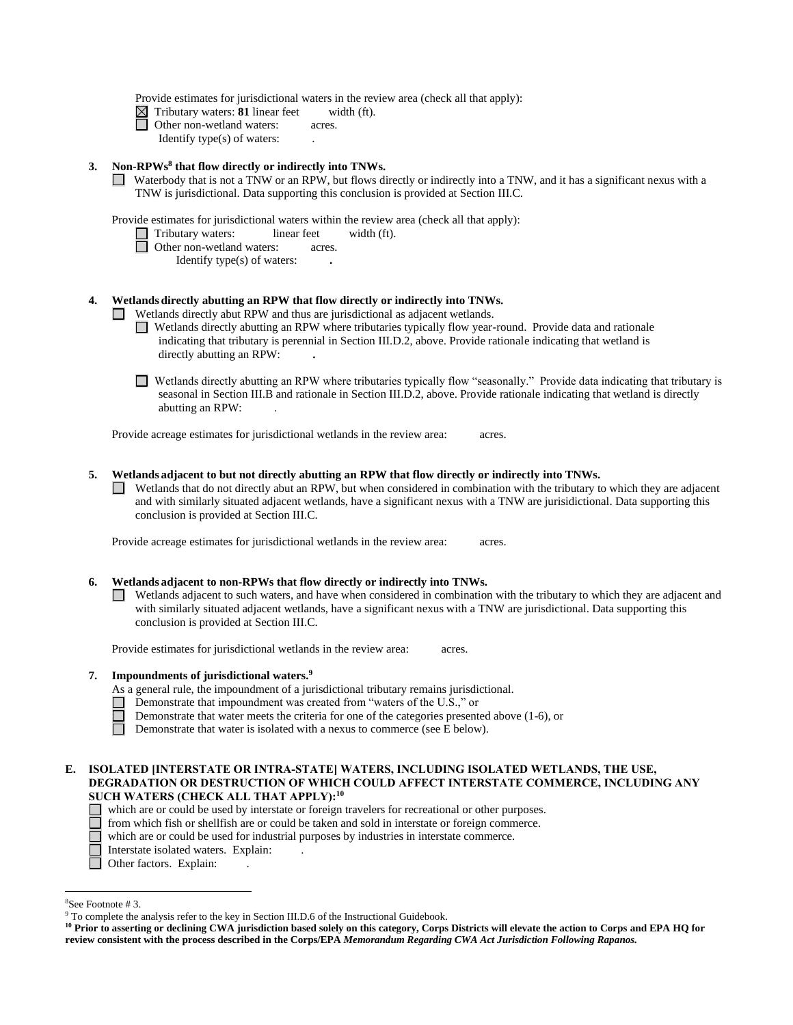Provide estimates for jurisdictional waters in the review area (check all that apply):

 $\boxtimes$  Tributary waters: **81** linear feet width (ft).

□ Other non-wetland waters: acres.

Identify type(s) of waters: .

#### **3. Non-RPWs<sup>8</sup> that flow directly or indirectly into TNWs.**

Waterbody that is not a TNW or an RPW, but flows directly or indirectly into a TNW, and it has a significant nexus with a TNW is jurisdictional. Data supporting this conclusion is provided at Section III.C.

Provide estimates for jurisdictional waters within the review area (check all that apply):

□ Tributary waters: linear feet width (ft).

- **D** Other non-wetland waters: acres.
	- Identify type(s) of waters: **.**

### **4. Wetlands directly abutting an RPW that flow directly or indirectly into TNWs.**

- Wetlands directly abut RPW and thus are jurisdictional as adjacent wetlands.  $\Box$ 
	- Wetlands directly abutting an RPW where tributaries typically flow year-round. Provide data and rationale indicating that tributary is perennial in Section III.D.2, above. Provide rationale indicating that wetland is directly abutting an RPW: **.**
	- Wetlands directly abutting an RPW where tributaries typically flow "seasonally." Provide data indicating that tributary is seasonal in Section III.B and rationale in Section III.D.2, above. Provide rationale indicating that wetland is directly abutting an RPW: .

Provide acreage estimates for jurisdictional wetlands in the review area: acres.

- **5. Wetlands adjacent to but not directly abutting an RPW that flow directly or indirectly into TNWs.**
	- $\Box$  Wetlands that do not directly abut an RPW, but when considered in combination with the tributary to which they are adjacent and with similarly situated adjacent wetlands, have a significant nexus with a TNW are jurisidictional. Data supporting this conclusion is provided at Section III.C.

Provide acreage estimates for jurisdictional wetlands in the review area: acres.

#### **6. Wetlands adjacent to non-RPWs that flow directly or indirectly into TNWs.**

 $\Box$  Wetlands adjacent to such waters, and have when considered in combination with the tributary to which they are adjacent and with similarly situated adjacent wetlands, have a significant nexus with a TNW are jurisdictional. Data supporting this conclusion is provided at Section III.C.

Provide estimates for jurisdictional wetlands in the review area: acres.

#### **7. Impoundments of jurisdictional waters. 9**

As a general rule, the impoundment of a jurisdictional tributary remains jurisdictional.

- Demonstrate that impoundment was created from "waters of the U.S.," or
- Demonstrate that water meets the criteria for one of the categories presented above (1-6), or
- П Demonstrate that water is isolated with a nexus to commerce (see E below).
- **E. ISOLATED [INTERSTATE OR INTRA-STATE] WATERS, INCLUDING ISOLATED WETLANDS, THE USE, DEGRADATION OR DESTRUCTION OF WHICH COULD AFFECT INTERSTATE COMMERCE, INCLUDING ANY SUCH WATERS (CHECK ALL THAT APPLY):<sup>10</sup>**
	- which are or could be used by interstate or foreign travelers for recreational or other purposes.
	- □ from which fish or shellfish are or could be taken and sold in interstate or foreign commerce.
	- П which are or could be used for industrial purposes by industries in interstate commerce.
		- Interstate isolated waters.Explain: .
	- □ Other factors. Explain:

<sup>8</sup>See Footnote # 3.

<sup>&</sup>lt;sup>9</sup> To complete the analysis refer to the key in Section III.D.6 of the Instructional Guidebook.

**<sup>10</sup> Prior to asserting or declining CWA jurisdiction based solely on this category, Corps Districts will elevate the action to Corps and EPA HQ for review consistent with the process described in the Corps/EPA** *Memorandum Regarding CWA Act Jurisdiction Following Rapanos.*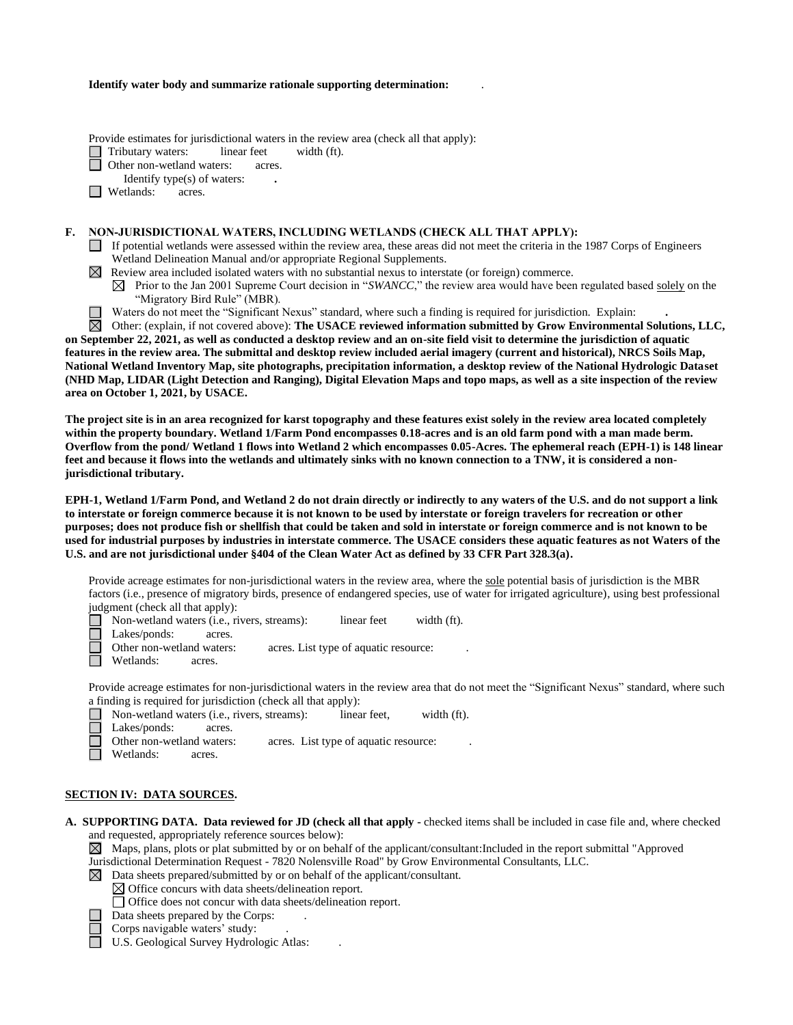#### **Identify water body and summarize rationale supporting determination:** .

Provide estimates for jurisdictional waters in the review area (check all that apply):

Tributary waters: linear feet width (ft).

□ Other non-wetland waters: acres.

Identify type(s) of waters: **.**

□ Wetlands: acres.

#### **F. NON-JURISDICTIONAL WATERS, INCLUDING WETLANDS (CHECK ALL THAT APPLY):**

- If potential wetlands were assessed within the review area, these areas did not meet the criteria in the 1987 Corps of Engineers Wetland Delineation Manual and/or appropriate Regional Supplements.
- Review area included isolated waters with no substantial nexus to interstate (or foreign) commerce.

 $\boxtimes$  Prior to the Jan 2001 Supreme Court decision in "*SWANCC*," the review area would have been regulated based solely on the "Migratory Bird Rule" (MBR).

Waters do not meet the "Significant Nexus" standard, where such a finding is required for jurisdiction. Explain: **.**

 $\boxtimes$ Other: (explain, if not covered above): **The USACE reviewed information submitted by Grow Environmental Solutions, LLC, on September 22, 2021, as well as conducted a desktop review and an on-site field visit to determine the jurisdiction of aquatic features in the review area. The submittal and desktop review included aerial imagery (current and historical), NRCS Soils Map, National Wetland Inventory Map, site photographs, precipitation information, a desktop review of the National Hydrologic Dataset (NHD Map, LIDAR (Light Detection and Ranging), Digital Elevation Maps and topo maps, as well as a site inspection of the review area on October 1, 2021, by USACE.**

**The project site is in an area recognized for karst topography and these features exist solely in the review area located completely within the property boundary. Wetland 1/Farm Pond encompasses 0.18-acres and is an old farm pond with a man made berm. Overflow from the pond/ Wetland 1 flows into Wetland 2 which encompasses 0.05-Acres. The ephemeral reach (EPH-1) is 148 linear feet and because it flows into the wetlands and ultimately sinks with no known connection to a TNW, it is considered a nonjurisdictional tributary.**

**EPH-1, Wetland 1/Farm Pond, and Wetland 2 do not drain directly or indirectly to any waters of the U.S. and do not support a link to interstate or foreign commerce because it is not known to be used by interstate or foreign travelers for recreation or other purposes; does not produce fish or shellfish that could be taken and sold in interstate or foreign commerce and is not known to be used for industrial purposes by industries in interstate commerce. The USACE considers these aquatic features as not Waters of the U.S. and are not jurisdictional under §404 of the Clean Water Act as defined by 33 CFR Part 328.3(a).**

Provide acreage estimates for non-jurisdictional waters in the review area, where the sole potential basis of jurisdiction is the MBR factors (i.e., presence of migratory birds, presence of endangered species, use of water for irrigated agriculture), using best professional judgment (check all that apply):

- Non-wetland waters (i.e., rivers, streams): linear feet width (ft).
- Г Lakes/ponds: acres.
	- Other non-wetland waters: acres. List type of aquatic resource:
- П Wetlands: acres.

Provide acreage estimates for non-jurisdictional waters in the review area that do not meet the "Significant Nexus" standard, where such a finding is required for jurisdiction (check all that apply):

П Non-wetland waters (i.e., rivers, streams): linear feet, width (ft).

Lakes/ponds: acres.

Other non-wetland waters: acres. List type of aquatic resource:

Wetlands: acres.

#### **SECTION IV: DATA SOURCES.**

**A. SUPPORTING DATA. Data reviewed for JD (check all that apply -** checked items shall be included in case file and, where checked and requested, appropriately reference sources below):

 $\boxtimes$  Maps, plans, plots or plat submitted by or on behalf of the applicant/consultant:Included in the report submittal "Approved" Jurisdictional Determination Request - 7820 Nolensville Road" by Grow Environmental Consultants, LLC.

- $\boxtimes$  Data sheets prepared/submitted by or on behalf of the applicant/consultant.
	- $\boxtimes$  Office concurs with data sheets/delineation report.

Office does not concur with data sheets/delineation report.

Data sheets prepared by the Corps: .

Corps navigable waters' study:

U.S. Geological Survey Hydrologic Atlas: